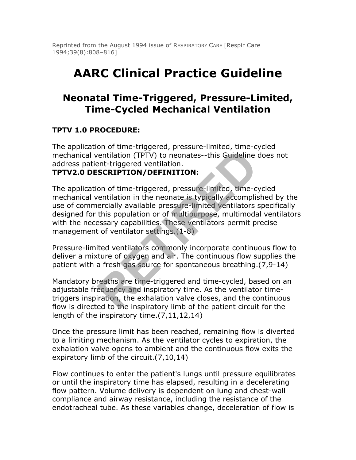Reprinted from the August 1994 issue of RESPIRATORY CARE [Respir Care 1994;39(8):808–816]

# **AARC Clinical Practice Guideline**

# **Neonatal Time-Triggered, Pressure-Limited, Time-Cycled Mechanical Ventilation**

#### **TPTV 1.0 PROCEDURE:**

The application of time-triggered, pressure-limited, time-cycled mechanical ventilation (TPTV) to neonates--this Guideline does not address patient-triggered ventilation.

#### **TPTV2.0 DESCRIPTION/DEFINITION:**

The application of time-triggered, pressure-limited, time-cycled mechanical ventilation in the neonate is typically accomplished by the use of commercially available pressure-limited ventilators specifically designed for this population or of multipurpose, multimodal ventilators with the necessary capabilities. These ventilators permit precise management of ventilator settings.(1-8) Frame Transformation (TPTV) to neonates--this Guideline (TPTV) to neonates--this Guideline (ent-triggered ventilation.<br> **SCRIPTION/DEFINITION:**<br>
on of time-triggered, pressure-limited, time-cremtilation in the neonate is t

Pressure-limited ventilators commonly incorporate continuous flow to deliver a mixture of oxygen and air. The continuous flow supplies the patient with a fresh gas source for spontaneous breathing.(7,9-14)

Mandatory breaths are time-triggered and time-cycled, based on an adjustable frequency and inspiratory time. As the ventilator timetriggers inspiration, the exhalation valve closes, and the continuous flow is directed to the inspiratory limb of the patient circuit for the length of the inspiratory time.(7,11,12,14)

Once the pressure limit has been reached, remaining flow is diverted to a limiting mechanism. As the ventilator cycles to expiration, the exhalation valve opens to ambient and the continuous flow exits the expiratory limb of the circuit.(7,10,14)

Flow continues to enter the patient's lungs until pressure equilibrates or until the inspiratory time has elapsed, resulting in a decelerating flow pattern. Volume delivery is dependent on lung and chest-wall compliance and airway resistance, including the resistance of the endotracheal tube. As these variables change, deceleration of flow is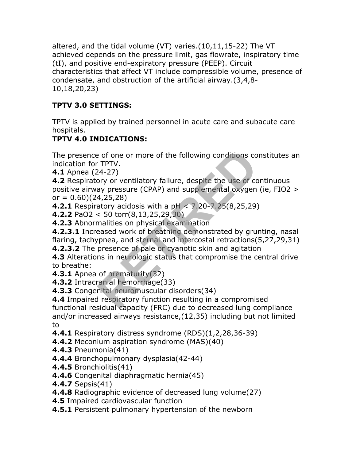altered, and the tidal volume (VT) varies.(10,11,15-22) The VT achieved depends on the pressure limit, gas flowrate, inspiratory time (tI), and positive end-expiratory pressure (PEEP). Circuit characteristics that affect VT include compressible volume, presence of condensate, and obstruction of the artificial airway.(3,4,8- 10,18,20,23)

## **TPTV 3.0 SETTINGS:**

TPTV is applied by trained personnel in acute care and subacute care hospitals.

## **TPTV 4.0 INDICATIONS:**

The presence of one or more of the following conditions constitutes an indication for TPTV.

**4.1** Apnea (24-27)

**4.2** Respiratory or ventilatory failure, despite the use of continuous positive airway pressure (CPAP) and supplemental oxygen (ie, FIO2 > or  $= 0.60$  $(24, 25, 28)$ Example the following conditions continue of the following conditions conditions the CPAP).<br>
24-27)<br>
Sory or ventilatory failure, despite the use of comparison of the set of comparison of pressure (CPAP) and supplemental o

**4.2.1** Respiratory acidosis with a pH < 7.20-7.25(8,25,29)

**4.2.2** PaO2 < 50 torr(8,13,25,29,30)

**4.2.3** Abnormalities on physical examination

**4.2.3.1** Increased work of breathing demonstrated by grunting, nasal flaring, tachypnea, and sternal and intercostal retractions(5,27,29,31)

**4.2.3.2** The presence of pale or cyanotic skin and agitation

**4.3** Alterations in neurologic status that compromise the central drive to breathe:

**4.3.1** Apnea of prematurity(32)

**4.3.2** Intracranial hemorrhage(33)

**4.3.3** Congenital neuromuscular disorders(34)

**4.4** Impaired respiratory function resulting in a compromised functional residual capacity (FRC) due to decreased lung compliance and/or increased airways resistance,(12,35) including but not limited to

**4.4.1** Respiratory distress syndrome (RDS)(1,2,28,36-39)

**4.4.2** Meconium aspiration syndrome (MAS)(40)

- **4.4.3** Pneumonia(41)
- **4.4.4** Bronchopulmonary dysplasia(42-44)
- **4.4.5** Bronchiolitis(41)
- **4.4.6** Congenital diaphragmatic hernia(45)
- **4.4.7** Sepsis(41)
- **4.4.8** Radiographic evidence of decreased lung volume(27)
- **4.5** Impaired cardiovascular function
- **4.5.1** Persistent pulmonary hypertension of the newborn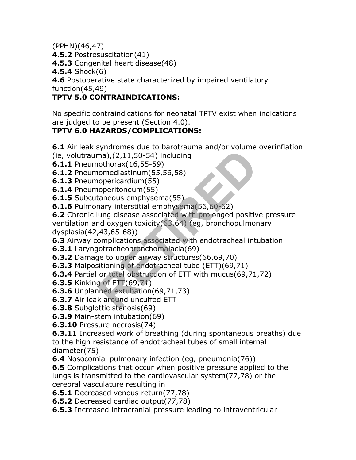(PPHN)(46,47)

**4.5.2** Postresuscitation(41)

**4.5.3** Congenital heart disease(48)

**4.5.4** Shock(6)

**4.6** Postoperative state characterized by impaired ventilatory function(45,49)

#### **TPTV 5.0 CONTRAINDICATIONS:**

No specific contraindications for neonatal TPTV exist when indications are judged to be present (Section 4.0).

## **TPTV 6.0 HAZARDS/COMPLICATIONS:**

**6.1** Air leak syndromes due to barotrauma and/or volume overinflation (ie, volutrauma), $(2,11,50-54)$  including

- **6.1.1** Pneumothorax(16,55-59)
- **6.1.2** Pneumomediastinum(55,56,58)
- **6.1.3** Pneumopericardium(55)
- **6.1.4** Pneumoperitoneum(55)
- **6.1.5** Subcutaneous emphysema(55)
- **6.1.6** Pulmonary interstitial emphysema(56,60-62)

**6.2** Chronic lung disease associated with prolonged positive pressure ventilation and oxygen toxicity(63,64) (eg, bronchopulmonary dysplasia(42,43,65-68)) Franchitecton and the state of the state of the state of the state of the state of the solen contrast (16,55-59)<br>
nomediastinum (55,56,58)<br>
nopericardium (55)<br>
nopericardium (55)<br>
nary interstitial emphysema (56,60-62)<br>
ha

**6.3** Airway complications associated with endotracheal intubation

- **6.3.1** Laryngotracheobronchomalacia(69)
- **6.3.2** Damage to upper airway structures(66,69,70)
- **6.3.3** Malpositioning of endotracheal tube (ETT)(69,71)
- **6.3.4** Partial or total obstruction of ETT with mucus(69,71,72)
- **6.3.5** Kinking of ETT(69,71)
- **6.3.6** Unplanned extubation(69,71,73)
- **6.3.7** Air leak around uncuffed ETT
- **6.3.8** Subglottic stenosis(69)
- **6.3.9** Main-stem intubation(69)
- **6.3.10** Pressure necrosis(74)

**6.3.11** Increased work of breathing (during spontaneous breaths) due to the high resistance of endotracheal tubes of small internal diameter(75)

**6.4** Nosocomial pulmonary infection (eg, pneumonia(76))

**6.5** Complications that occur when positive pressure applied to the lungs is transmitted to the cardiovascular system(77,78) or the cerebral vasculature resulting in

**6.5.1** Decreased venous return(77,78)

- **6.5.2** Decreased cardiac output(77,78)
- **6.5.3** Increased intracranial pressure leading to intraventricular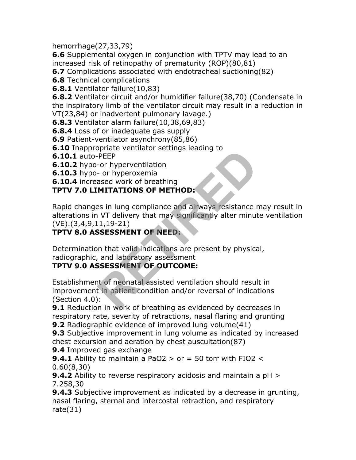hemorrhage(27,33,79)

**6.6** Supplemental oxygen in conjunction with TPTV may lead to an increased risk of retinopathy of prematurity (ROP)(80,81)

**6.7** Complications associated with endotracheal suctioning(82)

**6.8** Technical complications

**6.8.1** Ventilator failure(10,83)

**6.8.2** Ventilator circuit and/or humidifier failure(38,70) (Condensate in the inspiratory limb of the ventilator circuit may result in a reduction in VT(23,84) or inadvertent pulmonary lavage.)

**6.8.3** Ventilator alarm failure(10,38,69,83)

**6.8.4** Loss of or inadequate gas supply

**6.9** Patient-ventilator asynchrony(85,86)

**6.10** Inappropriate ventilator settings leading to

**6.10.1** auto-PEEP

**6.10.2** hypo-or hyperventilation

**6.10.3** hypo- or hyperoxemia

**6.10.4** increased work of breathing

#### **TPTV 7.0 LIMITATIONS OF METHOD:**

Rapid changes in lung compliance and airways resistance may result in alterations in VT delivery that may significantly alter minute ventilation (VE).(3,4,9,11,19-21)

#### **TPTV 8.0 ASSESSMENT OF NEED:**

Determination that valid indications are present by physical, radiographic, and laboratory assessment

## **TPTV 9.0 ASSESSMENT OF OUTCOME:**

Establishment of neonatal assisted ventilation should result in improvement in patient condition and/or reversal of indications (Section 4.0): PEEP<br>
The Contraction Settings leading to<br>
The Contract of Searching<br>
ased work of breathing<br> **MITATIONS OF METHOD:**<br>
as in lung compliance and airways resistance r<br>
IVT delivery that may significantly alter minut<br>
1,19-21

**9.1** Reduction in work of breathing as evidenced by decreases in respiratory rate, severity of retractions, nasal flaring and grunting **9.2** Radiographic evidence of improved lung volume(41)

**9.3** Subjective improvement in lung volume as indicated by increased chest excursion and aeration by chest auscultation(87)

**9.4** Improved gas exchange

**9.4.1** Ability to maintain a PaO2  $>$  or  $=$  50 torr with FIO2  $<$ 0.60(8,30)

**9.4.2** Ability to reverse respiratory acidosis and maintain a pH > 7.258,30

**9.4.3** Subjective improvement as indicated by a decrease in grunting, nasal flaring, sternal and intercostal retraction, and respiratory rate(31)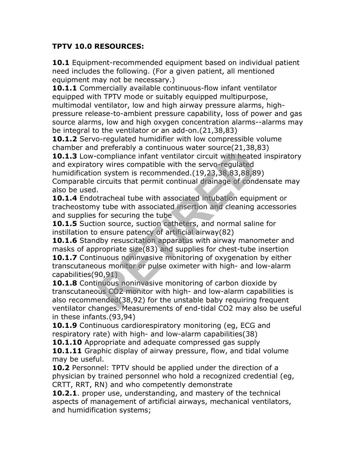#### **TPTV 10.0 RESOURCES:**

**10.1** Equipment-recommended equipment based on individual patient need includes the following. (For a given patient, all mentioned equipment may not be necessary.)

**10.1.1** Commercially available continuous-flow infant ventilator equipped with TPTV mode or suitably equipped multipurpose, multimodal ventilator, low and high airway pressure alarms, highpressure release-to-ambient pressure capability, loss of power and gas source alarms, low and high oxygen concentration alarms--alarms may be integral to the ventilator or an add-on.(21,38,83)

**10.1.2** Servo-regulated humidifier with low compressible volume chamber and preferably a continuous water source(21,38,83)

**10.1.3** Low-compliance infant ventilator circuit with heated inspiratory and expiratory wires compatible with the servo-regulated

humidification system is recommended.(19,23,38,83,88,89) Comparable circuits that permit continual drainage of condensate may also be used.

**10.1.4** Endotracheal tube with associated intubation equipment or tracheostomy tube with associated insertion and cleaning accessories and supplies for securing the tube

**10.1.5** Suction source, suction catheters, and normal saline for instillation to ensure patency of artificial airway(82)

**10.1.6** Standby resuscitation apparatus with airway manometer and masks of appropriate size(83) and supplies for chest-tube insertion **10.1.7** Continuous noninvasive monitoring of oxygenation by either transcutaneous monitor or pulse oximeter with high- and low-alarm capabilities(90,91) representing a continuous water source(21,50,000)<br>compliance infant ventilator circuit with heatery wires compatible with the servo-regulated<br>in system is recommended. (19,23,38,83,88,89)<br>circuits that permit continual dra

**10.1.8** Continuous noninvasive monitoring of carbon dioxide by transcutaneous CO2 monitor with high- and low-alarm capabilities is also recommended(38,92) for the unstable baby requiring frequent ventilator changes. Measurements of end-tidal CO2 may also be useful in these infants.(93,94)

10.1.9 Continuous cardiorespiratory monitoring (eg, ECG and respiratory rate) with high- and low-alarm capabilities(38)

**10.1.10** Appropriate and adequate compressed gas supply

**10.1.11** Graphic display of airway pressure, flow, and tidal volume may be useful.

**10.2** Personnel: TPTV should be applied under the direction of a physician by trained personnel who hold a recognized credential (eg, CRTT, RRT, RN) and who competently demonstrate

**10.2.1**. proper use, understanding, and mastery of the technical aspects of management of artificial airways, mechanical ventilators, and humidification systems;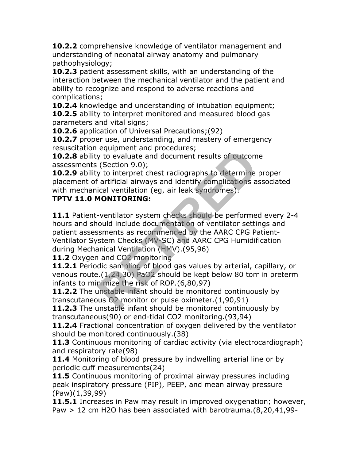**10.2.2** comprehensive knowledge of ventilator management and understanding of neonatal airway anatomy and pulmonary pathophysiology;

**10.2.3** patient assessment skills, with an understanding of the interaction between the mechanical ventilator and the patient and ability to recognize and respond to adverse reactions and complications;

**10.2.4** knowledge and understanding of intubation equipment; **10.2.5** ability to interpret monitored and measured blood gas parameters and vital signs;

**10.2.6** application of Universal Precautions;(92)

**10.2.7** proper use, understanding, and mastery of emergency resuscitation equipment and procedures;

**10.2.8** ability to evaluate and document results of outcome assessments (Section 9.0);

**10.2.9** ability to interpret chest radiographs to determine proper placement of artificial airways and identify complications associated with mechanical ventilation (eg, air leak syndromes).

## **TPTV 11.0 MONITORING:**

**11.1** Patient-ventilator system checks should be performed every 2-4 hours and should include documentation of ventilator settings and patient assessments as recommended by the AARC CPG Patient-Ventilator System Checks (MV-SC) and AARC CPG Humidification during Mechanical Ventilation (HMV).(95,96) by to evaluate and document results of outcom<br>(Section 9.0);<br>y to interpret chest radiographs to determine<br>artificial airways and identify complications a<br>ical ventilation (eg, air leak syndromes).<br>**MONITORING:**<br>-ventilato

**11.2** Oxygen and CO2 monitoring

**11.2.1** Periodic sampling of blood gas values by arterial, capillary, or venous route.(1,24,30) PaO2 should be kept below 80 torr in preterm infants to minimize the risk of ROP.(6,80,97)

**11.2.2** The unstable infant should be monitored continuously by transcutaneous O2 monitor or pulse oximeter.(1,90,91)

**11.2.3** The unstable infant should be monitored continuously by transcutaneous(90) or end-tidal CO2 monitoring.(93,94)

**11.2.4** Fractional concentration of oxygen delivered by the ventilator should be monitored continuously.(38)

**11.3** Continuous monitoring of cardiac activity (via electrocardiograph) and respiratory rate(98)

11.4 Monitoring of blood pressure by indwelling arterial line or by periodic cuff measurements(24)

**11.5** Continuous monitoring of proximal airway pressures including peak inspiratory pressure (PIP), PEEP, and mean airway pressure (Paw)(1,39,99)

**11.5.1** Increases in Paw may result in improved oxygenation; however, Paw > 12 cm H2O has been associated with barotrauma.(8,20,41,99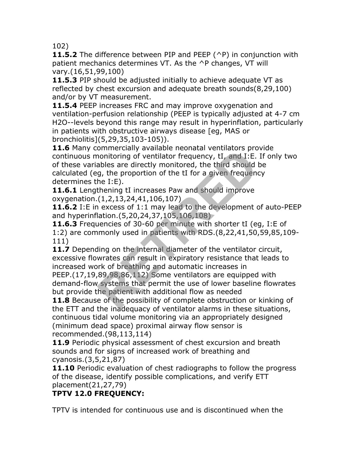102)

**11.5.2** The difference between PIP and PEEP (^P) in conjunction with patient mechanics determines VT. As the ^P changes, VT will vary.(16,51,99,100)

**11.5.3** PIP should be adjusted initially to achieve adequate VT as reflected by chest excursion and adequate breath sounds(8,29,100) and/or by VT measurement.

**11.5.4** PEEP increases FRC and may improve oxygenation and ventilation-perfusion relationship (PEEP is typically adjusted at 4-7 cm H2O--levels beyond this range may result in hyperinflation, particularly in patients with obstructive airways disease [eg, MAS or bronchiolitis](5,29,35,103-105)).

**11.6** Many commercially available neonatal ventilators provide continuous monitoring of ventilator frequency, tI, and I:E. If only two of these variables are directly monitored, the third should be calculated (eg, the proportion of the tI for a given frequency determines the I:E). onnitoring of ventilator frequency, tI, and I:E.<br>ables are directly monitored, the third should<br>g, the proportion of the tI for a given frequence<br>he I:E).<br>thening tI increases Paw and should improve<br>(1,2,13,24,41,106,107)<br>

11.6.1 Lengthening tI increases Paw and should improve oxygenation.(1,2,13,24,41,106,107)

**11.6.2** I:E in excess of 1:1 may lead to the development of auto-PEEP and hyperinflation.(5,20,24,37,105,106,108)

**11.6.3** Frequencies of 30-60 per minute with shorter tI (eg, I:E of 1:2) are commonly used in patients with RDS.(8,22,41,50,59,85,109- 111)

11.7 Depending on the internal diameter of the ventilator circuit, excessive flowrates can result in expiratory resistance that leads to increased work of breathing and automatic increases in

PEEP.(17,19,89,98,86,112) Some ventilators are equipped with demand-flow systems that permit the use of lower baseline flowrates but provide the patient with additional flow as needed

**11.8** Because of the possibility of complete obstruction or kinking of the ETT and the inadequacy of ventilator alarms in these situations, continuous tidal volume monitoring via an appropriately designed (minimum dead space) proximal airway flow sensor is recommended.(98,113,114)

**11.9** Periodic physical assessment of chest excursion and breath sounds and for signs of increased work of breathing and cyanosis.(3,5,21,87)

**11.10** Periodic evaluation of chest radiographs to follow the progress of the disease, identify possible complications, and verify ETT placement(21,27,79)

# **TPTV 12.0 FREQUENCY:**

TPTV is intended for continuous use and is discontinued when the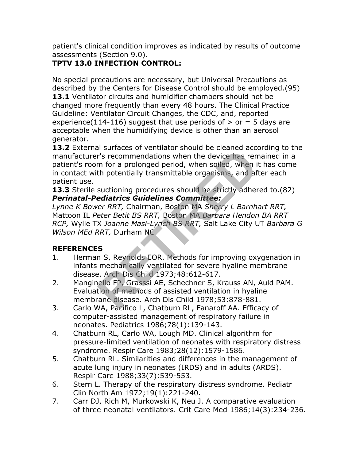patient's clinical condition improves as indicated by results of outcome assessments (Section 9.0).

# **TPTV 13.0 INFECTION CONTROL:**

No special precautions are necessary, but Universal Precautions as described by the Centers for Disease Control should be employed.(95) 13.1 Ventilator circuits and humidifier chambers should not be changed more frequently than every 48 hours. The Clinical Practice Guideline: Ventilator Circuit Changes, the CDC, and, reported experience(114-116) suggest that use periods of  $>$  or = 5 days are acceptable when the humidifying device is other than an aerosol generator.

**13.2** External surfaces of ventilator should be cleaned according to the manufacturer's recommendations when the device has remained in a patient's room for a prolonged period, when soiled, when it has come in contact with potentially transmittable organisms, and after each patient use. In surfaces of ventilator should be cleaned access<br>
r's recommendations when the device has rem<br>
for a prolonged period, when soiled, when if<br>
th potentially transmittable organisms, and af<br>
suctioning procedures should be

**13.3** Sterile suctioning procedures should be strictly adhered to.(82) *Perinatal-Pediatrics Guidelines Committee:*

*Lynne K Bower RRT,* Chairman, Boston MA *Sherry L Barnhart RRT,* Mattoon IL *Peter Betit BS RRT,* Boston MA *Barbara Hendon BA RRT RCP,* Wylie TX *Joanne Masi-Lynch BS RRT,* Salt Lake City UT *Barbara G Wilson MEd RRT,* Durham NC

## **REFERENCES**

- 1. Herman S, Reynolds EOR. Methods for improving oxygenation in infants mechanically ventilated for severe hyaline membrane disease. Arch Dis Child 1973;48:612-617.
- 2. Manginello FP, Grasssi AE, Schechner S, Krauss AN, Auld PAM. Evaluation of methods of assisted ventilation in hyaline membrane disease. Arch Dis Child 1978;53:878-881.
- 3. Carlo WA, Pacifico L, Chatburn RL, Fanaroff AA. Efficacy of computer-assisted management of respiratory failure in neonates. Pediatrics 1986;78(1):139-143.
- 4. Chatburn RL, Carlo WA, Lough MD. Clinical algorithm for pressure-limited ventilation of neonates with respiratory distress syndrome. Respir Care 1983;28(12):1579-1586.
- 5. Chatburn RL. Similarities and differences in the management of acute lung injury in neonates (IRDS) and in adults (ARDS). Respir Care 1988;33(7):539-553.
- 6. Stern L. Therapy of the respiratory distress syndrome. Pediatr Clin North Am 1972;19(1):221-240.
- 7. Carr DJ, Rich M, Murkowski K, Neu J. A comparative evaluation of three neonatal ventilators. Crit Care Med 1986;14(3):234-236.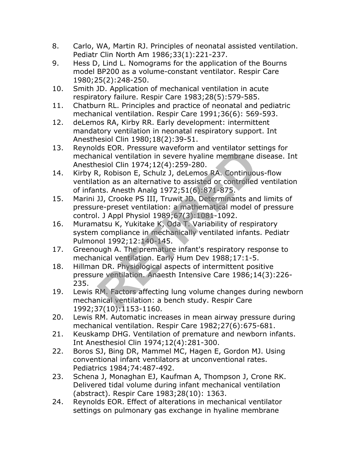- 8. Carlo, WA, Martin RJ. Principles of neonatal assisted ventilation. Pediatr Clin North Am 1986;33(1):221-237.
- 9. Hess D, Lind L. Nomograms for the application of the Bourns model BP200 as a volume-constant ventilator. Respir Care 1980;25(2):248-250.
- 10. Smith JD. Application of mechanical ventilation in acute respiratory failure. Respir Care 1983;28(5):579-585.
- 11. Chatburn RL. Principles and practice of neonatal and pediatric mechanical ventilation. Respir Care 1991;36(6): 569-593.
- 12. deLemos RA, Kirby RR. Early development: intermittent mandatory ventilation in neonatal respiratory support. Int Anesthesiol Clin 1980;18(2):39-51.
- 13. Reynolds EOR. Pressure waveform and ventilator settings for mechanical ventilation in severe hyaline membrane disease. Int Anesthesiol Clin 1974;12(4):259-280.
- 14. Kirby R, Robison E, Schulz J, deLemos RA. Continuous-flow ventilation as an alternative to assisted or controlled ventilation of infants. Anesth Analg 1972;51(6):871-875.
- 15. Marini JJ, Crooke PS III, Truwit JD. Determinants and limits of pressure-preset ventilation: a mathematical model of pressure control. J Appl Physiol 1989;67(3):1081-1092. discussion in severe hyaline membrane conducts and the conduction in severe hyaline membrane cosiol Clin 1974;12(4):259-280.<br> *R*, Robison E, Schulz J, deLemos RA. Continuou<br>
tion as an alternative to assisted or controlle
- 16. Muramatsu K, Yukitake K, Oda T. Variability of respiratory system compliance in mechanically ventilated infants. Pediatr Pulmonol 1992;12:140-145.
- 17. Greenough A. The premature infant's respiratory response to mechanical ventilation. Early Hum Dev 1988;17:1-5.
- 18. Hillman DR. Physiological aspects of intermittent positive pressure ventilation. Anaesth Intensive Care 1986;14(3):226- 235.
- 19. Lewis RM. Factors affecting lung volume changes during newborn mechanical ventilation: a bench study. Respir Care 1992;37(10):1153-1160.
- 20. Lewis RM. Automatic increases in mean airway pressure during mechanical ventilation. Respir Care 1982;27(6):675-681.
- 21. Keuskamp DHG. Ventilation of premature and newborn infants. Int Anesthesiol Clin 1974;12(4):281-300.
- 22. Boros SJ, Bing DR, Mammel MC, Hagen E, Gordon MJ. Using conventional infant ventilators at unconventional rates. Pediatrics 1984;74:487-492.
- 23. Schena J, Monaghan EJ, Kaufman A, Thompson J, Crone RK. Delivered tidal volume during infant mechanical ventilation (abstract). Respir Care 1983;28(10): 1363.
- 24. Reynolds EOR. Effect of alterations in mechanical ventilator settings on pulmonary gas exchange in hyaline membrane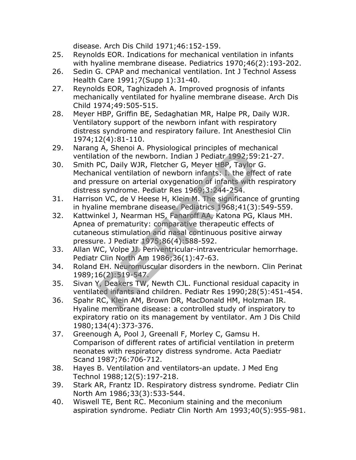disease. Arch Dis Child 1971;46:152-159.

- 25. Reynolds EOR. Indications for mechanical ventilation in infants with hyaline membrane disease. Pediatrics 1970;46(2):193-202.
- 26. Sedin G. CPAP and mechanical ventilation. Int J Technol Assess Health Care 1991;7(Supp 1):31-40.
- 27. Reynolds EOR, Taghizadeh A. Improved prognosis of infants mechanically ventilated for hyaline membrane disease. Arch Dis Child 1974;49:505-515.
- 28. Meyer HBP, Griffin BE, Sedaghatian MR, Halpe PR, Daily WJR. Ventilatory support of the newborn infant with respiratory distress syndrome and respiratory failure. Int Anesthesiol Clin 1974;12(4):81-110.
- 29. Narang A, Shenoi A. Physiological principles of mechanical ventilation of the newborn. Indian J Pediatr 1992;59:21-27.
- 30. Smith PC, Daily WJR, Fletcher G, Meyer HBP, Taylor G. Mechanical ventilation of newborn infants: I. the effect of rate and pressure on arterial oxygenation of infants with respiratory distress syndrome. Pediatr Res 1969;3:244-254.
- 31. Harrison VC, de V Heese H, Klein M. The significance of grunting in hyaline membrane disease. Pediatrics 1968;41(3):549-559.
- 32. Kattwinkel J, Nearman HS, Fanaroff AA, Katona PG, Klaus MH. Apnea of prematurity: comparative therapeutic effects of cutaneous stimulation and nasal continuous positive airway pressure. J Pediatr 1975;86(4):588-592. For State of the newborn. Indian J Pediatr 1992;59<br>PC, Daily WJR, Fletcher G, Meyer HBP, Taylor<br>nical ventilation of newborn infants: I. the effection of newborn infants: I. the effection<br>of newborn infants: I. the effecti
- 33. Allan WC, Volpe JJ. Periventricular-intraventricular hemorrhage. Pediatr Clin North Am 1986;36(1):47-63.
- 34. Roland EH. Neuromuscular disorders in the newborn. Clin Perinat 1989;16(2):519-547.
- 35. Sivan Y, Deakers TW, Newth CJL. Functional residual capacity in ventilated infants and children. Pediatr Res 1990;28(5):451-454.
- 36. Spahr RC, Klein AM, Brown DR, MacDonald HM, Holzman IR. Hyaline membrane disease: a controlled study of inspiratory to expiratory ratio on its management by ventilator. Am J Dis Child 1980;134(4):373-376.
- 37. Greenough A, Pool J, Greenall F, Morley C, Gamsu H. Comparison of different rates of artificial ventilation in preterm neonates with respiratory distress syndrome. Acta Paediatr Scand 1987;76:706-712.
- 38. Hayes B. Ventilation and ventilators-an update. J Med Eng Technol 1988;12(5):197-218.
- 39. Stark AR, Frantz ID. Respiratory distress syndrome. Pediatr Clin North Am 1986;33(3):533-544.
- 40. Wiswell TE, Bent RC. Meconium staining and the meconium aspiration syndrome. Pediatr Clin North Am 1993;40(5):955-981.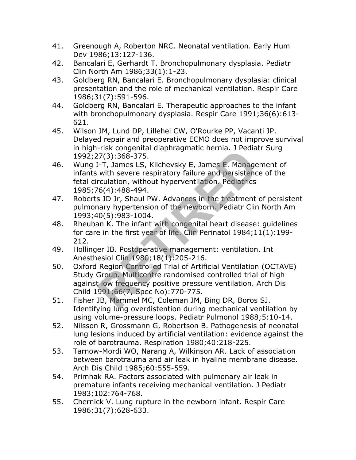- 41. Greenough A, Roberton NRC. Neonatal ventilation. Early Hum Dev 1986;13:127-136.
- 42. Bancalari E, Gerhardt T. Bronchopulmonary dysplasia. Pediatr Clin North Am 1986;33(1):1-23.
- 43. Goldberg RN, Bancalari E. Bronchopulmonary dysplasia: clinical presentation and the role of mechanical ventilation. Respir Care 1986;31(7):591-596.
- 44. Goldberg RN, Bancalari E. Therapeutic approaches to the infant with bronchopulmonary dysplasia. Respir Care 1991;36(6):613- 621.
- 45. Wilson JM, Lund DP, Lillehei CW, O'Rourke PP, Vacanti JP. Delayed repair and preoperative ECMO does not improve survival in high-risk congenital diaphragmatic hernia. J Pediatr Surg 1992;27(3):368-375.
- 46. Wung J-T, James LS, Kilchevsky E, James E. Management of infants with severe respiratory failure and persistence of the fetal circulation, without hyperventilation. Pediatrics 1985;76(4):488-494.
- 47. Roberts JD Jr, Shaul PW. Advances in the treatment of persistent pulmonary hypertension of the newborn. Pediatr Clin North Am 1993;40(5):983-1004.
- 48. Rheuban K. The infant with congenital heart disease: guidelines for care in the first year of life. Clin Perinatol 1984;11(1):199- 212.
- 49. Hollinger IB. Postoperative management: ventilation. Int Anesthesiol Clin 1980;18(1):205-216.
- 50. Oxford Region Controlled Trial of Artificial Ventilation (OCTAVE) Study Group. Multicentre randomised controlled trial of high against low frequency positive pressure ventilation. Arch Dis Child 1991;66(7, Spec No):770-775. 173. Congenia diaphragmatic riema. 3 Tedia<br>
27(3):368-375.<br>
1-T, James LS, Kilchevsky E, James E. Manage<br>
with severe respiratory failure and persistenc<br>
rculation, without hyperventilation. Pediatrics<br>
6(4):488-494.<br> **S**
- 51. Fisher JB, Mammel MC, Coleman JM, Bing DR, Boros SJ. Identifying lung overdistention during mechanical ventilation by using volume-pressure loops. Pediatr Pulmonol 1988;5:10-14.
- 52. Nilsson R, Grossmann G, Robertson B. Pathogenesis of neonatal lung lesions induced by artificial ventilation: evidence against the role of barotrauma. Respiration 1980;40:218-225.
- 53. Tarnow-Mordi WO, Narang A, Wilkinson AR. Lack of association between barotrauma and air leak in hyaline membrane disease. Arch Dis Child 1985;60:555-559.
- 54. Primhak RA. Factors associated with pulmonary air leak in premature infants receiving mechanical ventilation. J Pediatr 1983;102:764-768.
- 55. Chernick V. Lung rupture in the newborn infant. Respir Care 1986;31(7):628-633.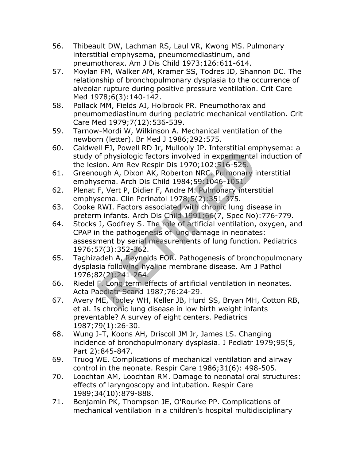- 56. Thibeault DW, Lachman RS, Laul VR, Kwong MS. Pulmonary interstitial emphysema, pneumomediastinum, and pneumothorax. Am J Dis Child 1973;126:611-614.
- 57. Moylan FM, Walker AM, Kramer SS, Todres ID, Shannon DC. The relationship of bronchopulmonary dysplasia to the occurrence of alveolar rupture during positive pressure ventilation. Crit Care Med 1978;6(3):140-142.
- 58. Pollack MM, Fields AI, Holbrook PR. Pneumothorax and pneumomediastinum during pediatric mechanical ventilation. Crit Care Med 1979;7(12):536-539.
- 59. Tarnow-Mordi W, Wilkinson A. Mechanical ventilation of the newborn (letter). Br Med J 1986;292:575.
- 60. Caldwell EJ, Powell RD Jr, Mullooly JP. Interstitial emphysema: a study of physiologic factors involved in experimental induction of the lesion. Am Rev Respir Dis 1970;102:516-525.
- 61. Greenough A, Dixon AK, Roberton NRC. Pulmonary interstitial emphysema. Arch Dis Child 1984;59:1046-1051.
- 62. Plenat F, Vert P, Didier F, Andre M. Pulmonary interstitial emphysema. Clin Perinatol 1978;5(2):351-375.
- 63. Cooke RWI. Factors associated with chronic lung disease in preterm infants. Arch Dis Child 1991;66(7, Spec No):776-779.
- 64. Stocks J, Godfrey S. The role of artificial ventilation, oxygen, and CPAP in the pathogenesis of lung damage in neonates: assessment by serial measurements of lung function. Pediatrics 1976;57(3):352-362. of physiologic factors involved in experimental<br>of physiologic factors involved in experimental<br>ion. Am Rev Respir Dis 1970;102:516-525.<br>sema. Arch Dis Child 1984;59:1046-1051,<br>F, Vert P, Didier F, Andre M. Pulmonary inter
- 65. Taghizadeh A, Reynolds EOR. Pathogenesis of bronchopulmonary dysplasia following hyaline membrane disease. Am J Pathol 1976;82(2):241-264.
- 66. Riedel F. Long term effects of artificial ventilation in neonates. Acta Paediatr Scand 1987;76:24-29.
- 67. Avery ME, Tooley WH, Keller JB, Hurd SS, Bryan MH, Cotton RB, et al. Is chronic lung disease in low birth weight infants preventable? A survey of eight centers. Pediatrics 1987;79(1):26-30.
- 68. Wung J-T, Koons AH, Driscoll JM Jr, James LS. Changing incidence of bronchopulmonary dysplasia. J Pediatr 1979;95(5, Part 2):845-847.
- 69. Truog WE. Complications of mechanical ventilation and airway control in the neonate. Respir Care 1986;31(6): 498-505.
- 70. Loochtan AM, Loochtan RM. Damage to neonatal oral structures: effects of laryngoscopy and intubation. Respir Care 1989;34(10):879-888.
- 71. Benjamin PK, Thompson JE, O'Rourke PP. Complications of mechanical ventilation in a children's hospital multidisciplinary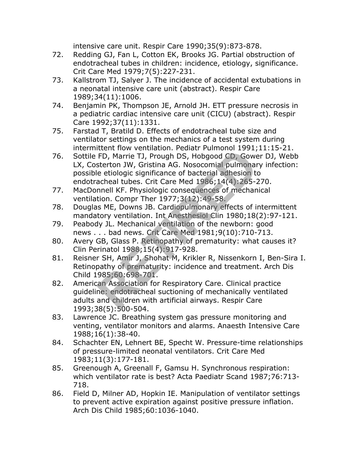intensive care unit. Respir Care 1990;35(9):873-878.

- 72. Redding GJ, Fan L, Cotton EK, Brooks JG. Partial obstruction of endotracheal tubes in children: incidence, etiology, significance. Crit Care Med 1979;7(5):227-231.
- 73. Kallstrom TJ, Salyer J. The incidence of accidental extubations in a neonatal intensive care unit (abstract). Respir Care 1989;34(11):1006.
- 74. Benjamin PK, Thompson JE, Arnold JH. ETT pressure necrosis in a pediatric cardiac intensive care unit (CICU) (abstract). Respir Care 1992;37(11):1331.
- 75. Farstad T, Bratild D. Effects of endotracheal tube size and ventilator settings on the mechanics of a test system during intermittent flow ventilation. Pediatr Pulmonol 1991;11:15-21.
- 76. Sottile FD, Marrie TJ, Prough DS, Hobgood CD, Gower DJ, Webb LX, Costerton JW, Gristina AG. Nosocomial pulmonary infection: possible etiologic significance of bacterial adhesion to endotracheal tubes. Crit Care Med 1986;14(4):265-270. FD, Marrie TJ, Prough DS, Hobgood CD, Gowesterton JW, Gristina AG. Nosocomial pulmonance etiologic significance of bacterial adhesion to<br>acheal tubes. Crit Care Med 1986;14(4):265-2<br>nnell KF. Physiologic consequences of me
- 77. MacDonnell KF. Physiologic consequences of mechanical ventilation. Compr Ther 1977;3(12):49-58.
- 78. Douglas ME, Downs JB. Cardiopulmonary effects of intermittent mandatory ventilation. Int Anesthesiol Clin 1980;18(2):97-121.
- 79. Peabody JL. Mechanical ventilation of the newborn: good news . . . bad news. Crit Care Med 1981;9(10):710-713.
- 80. Avery GB, Glass P. Retinopathy of prematurity: what causes it? Clin Perinatol 1988;15(4):917-928.
- 81. Reisner SH, Amir J, Shohat M, Krikler R, Nissenkorn I, Ben-Sira I. Retinopathy of prematurity: incidence and treatment. Arch Dis Child 1985;60:698-701.
- 82. American Association for Respiratory Care. Clinical practice guideline: endotracheal suctioning of mechanically ventilated adults and children with artificial airways. Respir Care 1993;38(5):500-504.
- 83. Lawrence JC. Breathing system gas pressure monitoring and venting, ventilator monitors and alarms. Anaesth Intensive Care 1988;16(1):38-40.
- 84. Schachter EN, Lehnert BE, Specht W. Pressure-time relationships of pressure-limited neonatal ventilators. Crit Care Med 1983;11(3):177-181.
- 85. Greenough A, Greenall F, Gamsu H. Synchronous respiration: which ventilator rate is best? Acta Paediatr Scand 1987;76:713- 718.
- 86. Field D, Milner AD, Hopkin IE. Manipulation of ventilator settings to prevent active expiration against positive pressure inflation. Arch Dis Child 1985;60:1036-1040.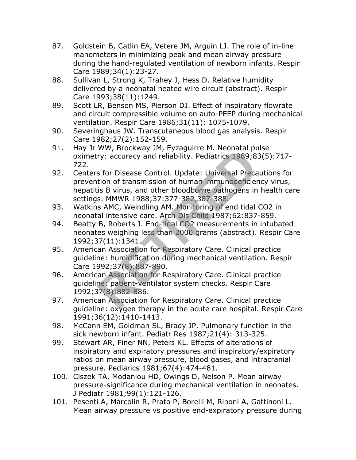- 87. Goldstein B, Catlin EA, Vetere JM, Arguin LJ. The role of in-line manometers in minimizing peak and mean airway pressure during the hand-regulated ventilation of newborn infants. Respir Care 1989;34(1):23-27.
- 88. Sullivan L, Strong K, Trahey J, Hess D. Relative humidity delivered by a neonatal heated wire circuit (abstract). Respir Care 1993;38(11):1249.
- 89. Scott LR, Benson MS, Pierson DJ. Effect of inspiratory flowrate and circuit compressible volume on auto-PEEP during mechanical ventilation. Respir Care 1986;31(11): 1075-1079.
- 90. Severinghaus JW. Transcutaneous blood gas analysis. Respir Care 1982;27(2):152-159.
- 91. Hay Jr WW, Brockway JM, Eyzaguirre M. Neonatal pulse oximetry: accuracy and reliability. Pediatrics 1989;83(5):717- 722.
- 92. Centers for Disease Control. Update: Universal Precautions for prevention of transmission of human immunodeficiency virus, hepatitis B virus, and other bloodborne pathogens in health care settings. MMWR 1988;37:377-382,387-388. ry: accuracy and reliability. Pediatrics 1989;8:<br>
Servey: accuracy and reliability. Pediatrics 1989;8:<br>
Servey: accuracy and other bloodborne pathogens in<br>
S. MMWR 1988;37:377-382,387-388,<br>
S. MMWR 1988;37:377-382,387-388,
- 93. Watkins AMC, Weindling AM. Monitoring of end tidal CO2 in neonatal intensive care. Arch Dis Child 1987;62:837-859.
- 94. Beatty B, Roberts J. End-tidal CO2 measurements in intubated neonates weighing less than 2000 grams (abstract). Respir Care 1992;37(11):1341.
- 95. American Association for Respiratory Care. Clinical practice guideline: humidification during mechanical ventilation. Respir Care 1992;37(8):887-890.
- 96. American Association for Respiratory Care. Clinical practice guideline: patient-ventilator system checks. Respir Care 1992;37(8):882-886.
- 97. American Association for Respiratory Care. Clinical practice guideline: oxygen therapy in the acute care hospital. Respir Care 1991;36(12):1410-1413.
- 98. McCann EM, Goldman SL, Brady JP. Pulmonary function in the sick newborn infant. Pediatr Res 1987;21(4): 313-325.
- 99. Stewart AR, Finer NN, Peters KL. Effects of alterations of inspiratory and expiratory pressures and inspiratory/expiratory ratios on mean airway pressure, blood gases, and intracranial pressure. Pediarics 1981;67(4):474-481.
- 100. Ciszek TA, Modanlou HD, Owings D, Nelson P. Mean airway pressure-significance during mechanical ventilation in neonates. J Pediatr 1981;99(1):121-126.
- 101. Pesenti A, Marcolin R, Prato P, Borelli M, Riboni A, Gattinoni L. Mean airway pressure vs positive end-expiratory pressure during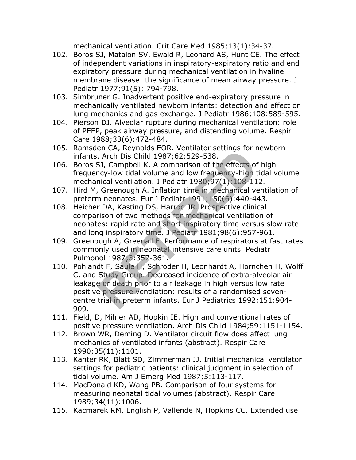mechanical ventilation. Crit Care Med 1985;13(1):34-37.

- 102. Boros SJ, Matalon SV, Ewald R, Leonard AS, Hunt CE. The effect of independent variations in inspiratory-expiratory ratio and end expiratory pressure during mechanical ventilation in hyaline membrane disease: the significance of mean airway pressure. J Pediatr 1977;91(5): 794-798.
- 103. Simbruner G. Inadvertent positive end-expiratory pressure in mechanically ventilated newborn infants: detection and effect on lung mechanics and gas exchange. J Pediatr 1986;108:589-595.
- 104. Pierson DJ. Alveolar rupture during mechanical ventilation: role of PEEP, peak airway pressure, and distending volume. Respir Care 1988;33(6):472-484.
- 105. Ramsden CA, Reynolds EOR. Ventilator settings for newborn infants. Arch Dis Child 1987;62:529-538.
- 106. Boros SJ, Campbell K. A comparison of the effects of high frequency-low tidal volume and low frequency-high tidal volume mechanical ventilation. J Pediatr 1980;97(1):108-112.
- 107. Hird M, Greenough A. Inflation time in mechanical ventilation of preterm neonates. Eur J Pediatr 1991;150(6):440-443.
- 108. Heicher DA, Kasting DS, Harrod JR. Prospective clinical comparison of two methods for mechanical ventilation of neonates: rapid rate and short inspiratory time versus slow rate and long inspiratory time. J Pediatr 1981;98(6):957-961.
- 109. Greenough A, Greenall F. Performance of respirators at fast rates commonly used in neonatal intensive care units. Pediatr Pulmonol 1987;3:357-361.
- 110. Pohlandt F, Saule H, Schroder H, Leonhardt A, Hornchen H, Wolff C, and Study Group. Decreased incidence of extra-alveolar air leakage or death prior to air leakage in high versus low rate positive pressure ventilation: results of a randomised sevencentre trial in preterm infants. Eur J Pediatrics 1992;151:904- 909. Erica, Reynolds 2001. Ventilator settings for Tarch Dis Child 1987;62:529-538.<br>
SJ, Campbell K. A comparison of the effects of<br>
mcy-low tidal volume and low frequency-high t<br>
nical ventilation. J Pediatr 1980;97(1):108-11<br>
- 111. Field, D, Milner AD, Hopkin IE. High and conventional rates of positive pressure ventilation. Arch Dis Child 1984;59:1151-1154.
- 112. Brown WR, Deming D. Ventilator circuit flow does affect lung mechanics of ventilated infants (abstract). Respir Care 1990;35(11):1101.
- 113. Kanter RK, Blatt SD, Zimmerman JJ. Initial mechanical ventilator settings for pediatric patients: clinical judgment in selection of tidal volume. Am J Emerg Med 1987;5:113-117.
- 114. MacDonald KD, Wang PB. Comparison of four systems for measuring neonatal tidal volumes (abstract). Respir Care 1989;34(11):1006.
- 115. Kacmarek RM, English P, Vallende N, Hopkins CC. Extended use